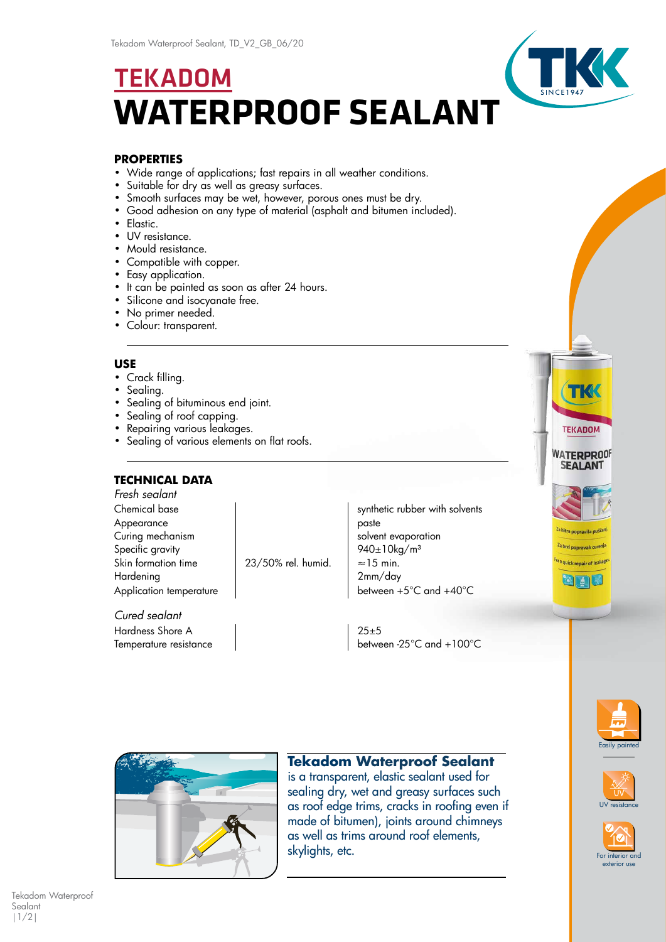# TEKADOM **WATERPROOF SEALANT**

#### **PROPERTIES**

- Wide range of applications; fast repairs in all weather conditions.
- Suitable for dry as well as greasy surfaces.
- Smooth surfaces may be wet, however, porous ones must be dry.
- Good adhesion on any type of material (asphalt and bitumen included).
- Elastic.
- UV resistance.
- Mould resistance.
- Compatible with copper.
- Easy application.
- It can be painted as soon as after 24 hours.
- Silicone and isocyanate free.
- No primer needed.
- Colour: transparent.

#### **USE**

- Crack filling.
- Sealing.
- Sealing of bituminous end joint.
- Sealing of roof capping.
- Repairing various leakages.
- Sealing of various elements on flat roofs.

### **TECHNICAL DATA**

*Fresh sealant* Appearance and paste Curing mechanism and the solvent evaporation Specific gravity and the settlement of the settlement of  $940 \pm 10 \text{kg/m}^3$ Skin formation time  $\vert$  23/50% rel. humid.  $\vert \approx 15$  min. Hardening and the contract of the 2mm/day

*Cured sealant* Hardness Shore A 25±5

Chemical base synthetic rubber with solvents Application temperature density between  $+5^{\circ}$ C and  $+40^{\circ}$ C

Temperature resistance density between -25°C and +100°C





## **Tekadom Waterproof Sealant**

is a transparent, elastic sealant used for sealing dry, wet and greasy surfaces such as roof edge trims, cracks in roofing even if made of bitumen), joints around chimneys as well as trims around roof elements, skylights, etc.